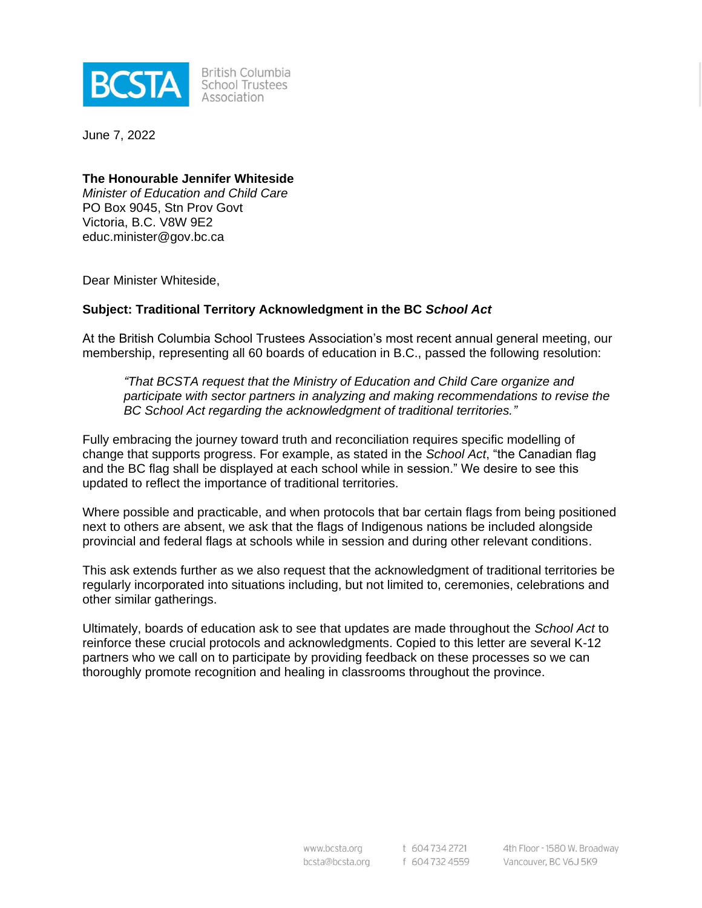

British Columbia School Trustees Association

June 7, 2022

### **The Honourable Jennifer Whiteside**

*Minister of Education and Child Care* PO Box 9045, Stn Prov Govt Victoria, B.C. V8W 9E2 educ.minister@gov.bc.ca

Dear Minister Whiteside,

#### **Subject: Traditional Territory Acknowledgment in the BC** *School Act*

At the British Columbia School Trustees Association's most recent annual general meeting, our membership, representing all 60 boards of education in B.C., passed the following resolution:

*"That BCSTA request that the Ministry of Education and Child Care organize and participate with sector partners in analyzing and making recommendations to revise the BC School Act regarding the acknowledgment of traditional territories."*

Fully embracing the journey toward truth and reconciliation requires specific modelling of change that supports progress. For example, as stated in the *School Act*, "the Canadian flag and the BC flag shall be displayed at each school while in session." We desire to see this updated to reflect the importance of traditional territories.

Where possible and practicable, and when protocols that bar certain flags from being positioned next to others are absent, we ask that the flags of Indigenous nations be included alongside provincial and federal flags at schools while in session and during other relevant conditions.

This ask extends further as we also request that the acknowledgment of traditional territories be regularly incorporated into situations including, but not limited to, ceremonies, celebrations and other similar gatherings.

Ultimately, boards of education ask to see that updates are made throughout the *School Act* to reinforce these crucial protocols and acknowledgments. Copied to this letter are several K-12 partners who we call on to participate by providing feedback on these processes so we can thoroughly promote recognition and healing in classrooms throughout the province.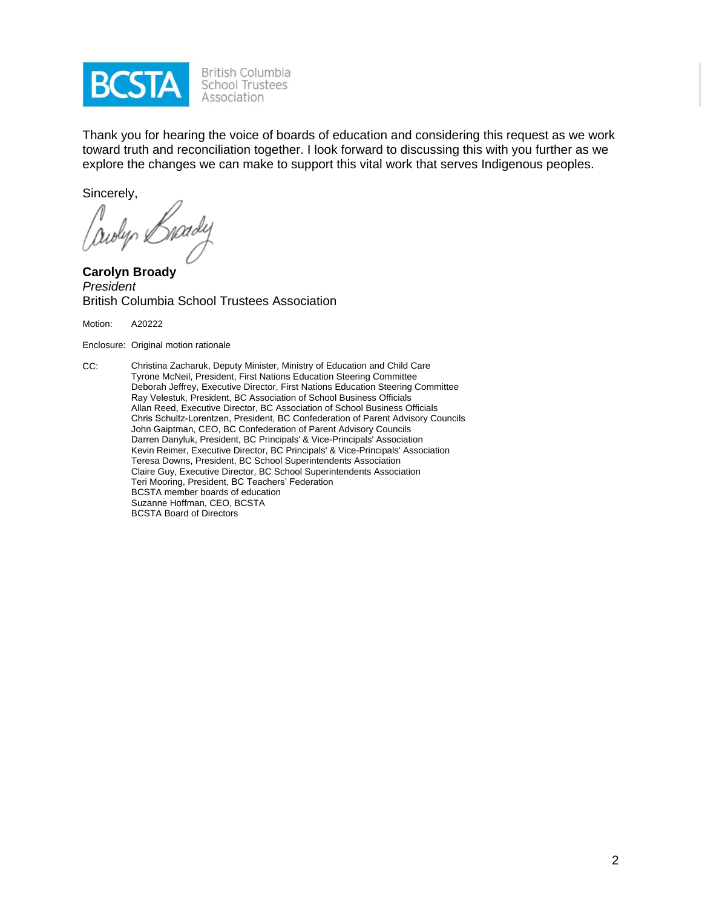

Thank you for hearing the voice of boards of education and considering this request as we work toward truth and reconciliation together. I look forward to discussing this with you further as we explore the changes we can make to support this vital work that serves Indigenous peoples.

Sincerely,

awyn il

**Carolyn Broady** *President* British Columbia School Trustees Association

Motion: A20222

Enclosure: Original motion rationale

CC: Christina Zacharuk, Deputy Minister, Ministry of Education and Child Care Tyrone McNeil, President, First Nations Education Steering Committee Deborah Jeffrey, Executive Director, First Nations Education Steering Committee Ray Velestuk, President, BC Association of School Business Officials Allan Reed, Executive Director, BC Association of School Business Officials Chris Schultz-Lorentzen, President, BC Confederation of Parent Advisory Councils John Gaiptman, CEO, BC Confederation of Parent Advisory Councils Darren Danyluk, President, BC Principals' & Vice-Principals' Association Kevin Reimer, Executive Director, BC Principals' & Vice-Principals' Association Teresa Downs, President, BC School Superintendents Association Claire Guy, Executive Director, BC School Superintendents Association Teri Mooring, President, BC Teachers' Federation BCSTA member boards of education Suzanne Hoffman, CEO, BCSTA BCSTA Board of Directors